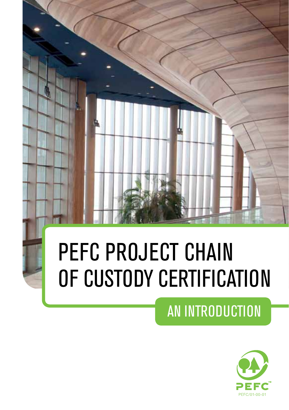# PEFC PROJECT CHAIN OF CUSTODY CERTIFICATION

# AN INTRODUCTION

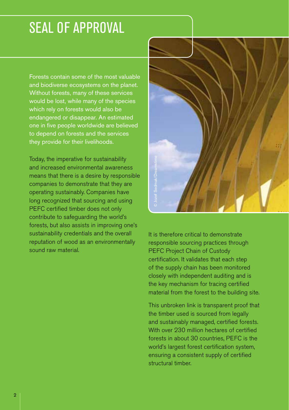### SEAL OF APPROVAL

Forests contain some of the most valuable and biodiverse ecosystems on the planet. Without forests, many of these services would be lost, while many of the species which rely on forests would also be endangered or disappear. An estimated one in five people worldwide are believed to depend on forests and the services they provide for their livelihoods.

Today, the imperative for sustainability and increased environmental awareness means that there is a desire by responsible companies to demonstrate that they are operating sustainably. Companies have long recognized that sourcing and using PEFC certified timber does not only contribute to safeguarding the world's forests, but also assists in improving one's sustainability credentials and the overall reputation of wood as an environmentally sound raw material.



It is therefore critical to demonstrate responsible sourcing practices through PEFC Project Chain of Custody certification. It validates that each step of the supply chain has been monitored closely with independent auditing and is the key mechanism for tracing certified material from the forest to the building site. France Controllers and Sedman<br>
Structural time supply charged the supply charged in the supply charged and sustainably in<br>
This unbroken line timber used<br>
and sustainably in With over 230 m<br>
forests in about<br>
With over 230

This unbroken link is transparent proof that the timber used is sourced from legally and sustainably managed, certified forests. With over 230 million hectares of certified forests in about 30 countries, PEFC is the world's largest forest certification system, ensuring a consistent supply of certified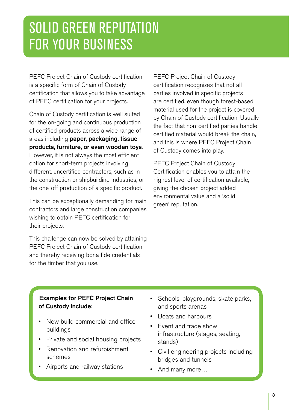### SOLID GREEN REPUTATION FOR YOUR BUSINESS

PEFC Project Chain of Custody certification is a specific form of Chain of Custody certification that allows you to take advantage of PEFC certification for your projects.

Chain of Custody certification is well suited for the on-going and continuous production of certified products across a wide range of areas including paper, packaging, tissue products, furniture, or even wooden toys. However, it is not always the most efficient option for short-term projects involving different, uncertified contractors, such as in the construction or shipbuilding industries, or the one-off production of a specific product.

This can be exceptionally demanding for main contractors and large construction companies wishing to obtain PEFC certification for their projects.

This challenge can now be solved by attaining PEFC Project Chain of Custody certification and thereby receiving bona fide credentials for the timber that you use.

PEFC Project Chain of Custody certification recognizes that not all parties involved in specific projects are certified, even though forest-based material used for the project is covered by Chain of Custody certification. Usually, the fact that non-certified parties handle certified material would break the chain, and this is where PEFC Project Chain of Custody comes into play.

PEFC Project Chain of Custody Certification enables you to attain the highest level of certification available, giving the chosen project added environmental value and a 'solid green' reputation.

#### Examples for PEFC Project Chain of Custody include:

- New build commercial and office buildings
- Private and social housing projects
- Renovation and refurbishment schemes
- Airports and railway stations
- Schools, playgrounds, skate parks, and sports arenas
- • Boats and harbours
- • Event and trade show infrastructure (stages, seating, stands)
- • Civil engineering projects including bridges and tunnels
- And many more...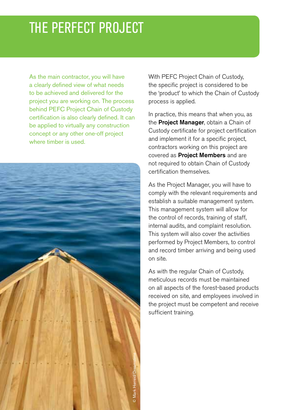### THE PERFECT PROJECT

As the main contractor, you will have a clearly defined view of what needs to be achieved and delivered for the project you are working on. The process behind PEFC Project Chain of Custody certification is also clearly defined. It can be applied to virtually any construction concept or any other one-off project where timber is used.



With PEFC Project Chain of Custody, the specific project is considered to be the 'product' to which the Chain of Custody process is applied.

In practice, this means that when you, as the **Project Manager**, obtain a Chain of Custody certificate for project certification and implement it for a specific project, contractors working on this project are covered as **Project Members** and are not required to obtain Chain of Custody certification themselves.

As the Project Manager, you will have to comply with the relevant requirements and establish a suitable management system. This management system will allow for the control of records, training of staff, internal audits, and complaint resolution. This system will also cover the activities performed by Project Members, to control and record timber arriving and being used on site.

As with the regular Chain of Custody, meticulous records must be maintained on all aspects of the forest-based products received on site, and employees involved in the project must be competent and receive sufficient training.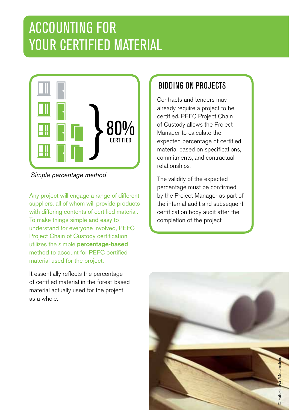# ACCOUNTING FOR YOUR CERTIFIED MATERIAL



*Simple percentage method*

Any project will engage a range of different suppliers, all of whom will provide products with differing contents of certified material. To make things simple and easy to understand for everyone involved, PEFC Project Chain of Custody certification utilizes the simple **percentage-based** method to account for PEFC certified material used for the project. **Proper involved, PEF**<br>**Stocky certification**<br>**ercentage-based**<br>for PEFC certified<br>**Propect**.<br>the percentage Sasy to<br>
Solved, PEFC<br>
Exploration of the project.<br>
Solved, PEFC<br>
Completion of the project.<br>
Completion of the project.

It essentially reflects the percentage of certified material in the forest-based material actually used for the project as a whole.

#### BIDDING ON PROJECTS

 $commitments, and contractual$ certified. PEFC Project Chain  $\mathbf{h}$  in period  $\mathbf{h}$ Contracts and tenders may already require a project to be of Custody allows the Project Manager to calculate the expected percentage of certified material based on specifications, relationships.

The validity of the expected percentage must be confirmed by the Project Manager as part of the internal audit and subsequent certification body audit after the completion of the project.

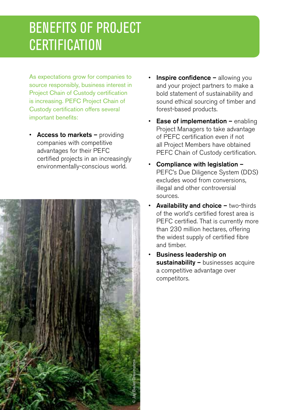## BENEFITS OF PROJECT **CERTIFICATION**

As expectations grow for companies to source responsibly, business interest in Project Chain of Custody certification is increasing. PEFC Project Chain of Custody certification offers several important benefits:

• Access to markets – providing companies with competitive advantages for their PEFC certified projects in an increasingly environmentally-conscious world.



- **Inspire confidence allowing you** and your project partners to make a bold statement of sustainability and sound ethical sourcing of timber and forest-based products.
- **Ease of implementation enabling** Project Managers to take advantage of PEFC certification even if not all Project Members have obtained PEFC Chain of Custody certification.
- Compliance with legislation  $-$ PEFC's Due Diligence System (DDS) excludes wood from conversions, illegal and other controversial sources.
- **Availability and choice two-thirds** of the world's certified forest area is PEFC certified. That is currently more than 230 million hectares, offering the widest supply of certified fibre and timber.
- **Business leadership on** sustainability - businesses acquire a competitive advantage over competitors.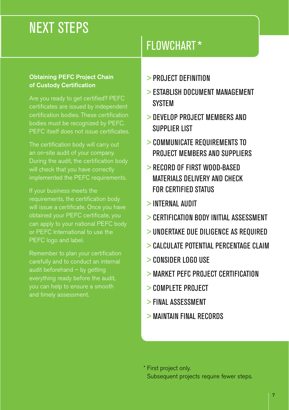### NEXT STEPS

#### Obtaining PEFC Project Chain of Custody Certification

certification bodies. These certification bodies must be recognized by PEFC. PEFC itself does not issue certificates.

During the audit, the certification body implemented the PEFC requirements.

If your business meets the requirements, the certification body obtained your PEFC certificate, you can apply to your national PEFC body or PEFC International to use the PEFC logo and label.

Remember to plan your certification carefully and to conduct an internal audit beforehand – by getting and timely assessment.

#### FLOWCHART \*

- > PROJECT DEFINITION
- > ESTABLISH DOCUMENT MANAGEMENT **SYSTEM**
- > DEVELOP PROJECT MEMBERS AND SUPPLIER LIST
- > COMMUNICATE REQUIREMENTS TO PROJECT MEMBERS AND SUPPLIERS
- > RECORD OF FIRST WOOD-BASED MATERIALS DELIVERY AND CHECK FOR CERTIFIED STATUS
- > INTERNAL AUDIT
- > CERTIFICATION BODY INITIAL ASSESSMENT
- > UNDERTAKE DUE DILIGENCE AS REQUIRED
- > CALCULATE POTENTIAL PERCENTAGE CLAIM
- > CONSIDER LOGO USE
- > MARKET PEFC PROJECT CERTIFICATION
- > COMPLETE PROJECT
- > FINAL ASSESSMENT
- > MAINTAIN FINAL RECORDS

\* First project only. Subsequent projects require fewer steps.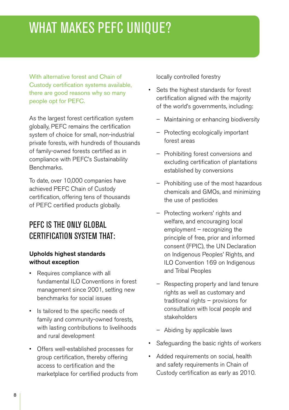### WHAT MAKES PEFC UNIQUE?

With alternative forest and Chain of Custody certification systems available, there are good reasons why so many people opt for PEFC.

As the largest forest certification system globally, PEFC remains the certification system of choice for small, non-industrial private forests, with hundreds of thousands of family-owned forests certified as in compliance with PEFC's Sustainability Benchmarks.

To date, over 10,000 companies have achieved PEFC Chain of Custody certification, offering tens of thousands of PEFC certified products globally.

#### PEFC IS THE ONLY GLOBAL CERTIFICATION SYSTEM THAT:

#### Upholds highest standards without exception

- Requires compliance with all fundamental ILO Conventions in forest management since 2001, setting new benchmarks for social issues
- Is tailored to the specific needs of family and community-owned forests, with lasting contributions to livelihoods and rural development
- • Offers well-established processes for group certification, thereby offering access to certification and the marketplace for certified products from

locally controlled forestry

- • Sets the highest standards for forest certification aligned with the majority of the world's governments, including:
	- Maintaining or enhancing biodiversity
	- Protecting ecologically important forest areas
	- Prohibiting forest conversions and excluding certification of plantations established by conversions
	- Prohibiting use of the most hazardous chemicals and GMOs, and minimizing the use of pesticides
	- Protecting workers' rights and welfare, and encouraging local employment – recognizing the principle of free, prior and informed consent (FPIC), the UN Declaration on Indigenous Peoples' Rights, and ILO Convention 169 on Indigenous and Tribal Peoples
	- Respecting property and land tenure rights as well as customary and traditional rights – provisions for consultation with local people and stakeholders
	- Abiding by applicable laws
- • Safeguarding the basic rights of workers
- • Added requirements on social, health and safety requirements in Chain of Custody certification as early as 2010.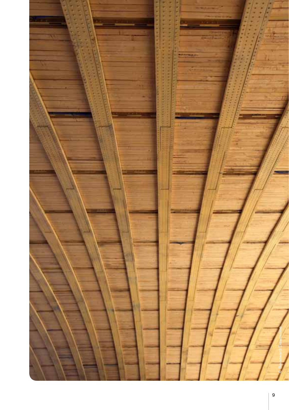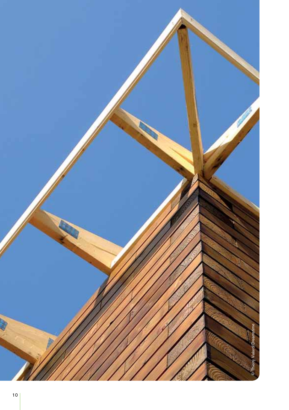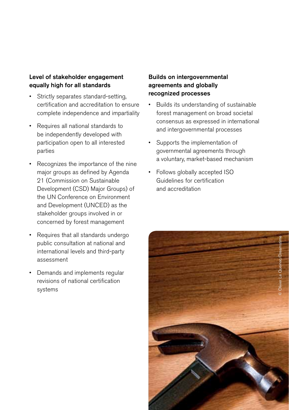#### Level of stakeholder engagement equally high for all standards

- Strictly separates standard-setting, certification and accreditation to ensure complete independence and impartiality
- Requires all national standards to be independently developed with participation open to all interested parties
- Recognizes the importance of the nine major groups as defined by Agenda 21 (Commission on Sustainable Development (CSD) Major Groups) of the UN Conference on Environment and Development (UNCED) as the stakeholder groups involved in or concerned by forest management
- Requires that all standards undergo public consultation at national and international levels and third-party assessment
- • Demands and implements regular revisions of national certification systems

#### Builds on intergovernmental agreements and globally recognized processes

- Builds its understanding of sustainable forest management on broad societal consensus as expressed in international and intergovernmental processes
- • Supports the implementation of governmental agreements through a voluntary, market-based mechanism
- Follows globally accepted ISO Guidelines for certification and accreditation